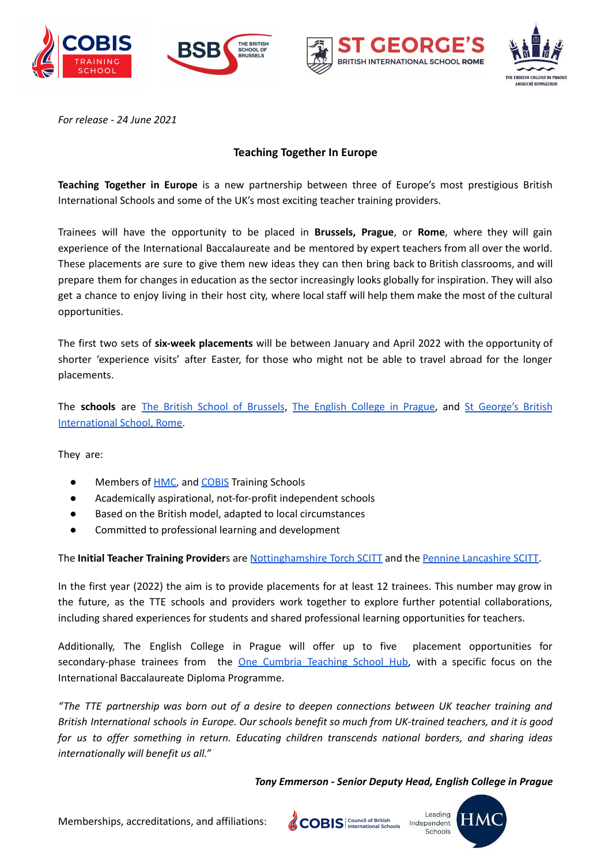





*For release - 24 June 2021*

# **Teaching Together In Europe**

**Teaching Together in Europe** is a new partnership between three of Europe's most prestigious British International Schools and some of the UK's most exciting teacher training providers.

Trainees will have the opportunity to be placed in **Brussels, Prague**, or **Rome**, where they will gain experience of the International Baccalaureate and be mentored by expert teachers from all over the world. These placements are sure to give them new ideas they can then bring back to British classrooms, and will prepare them for changes in education as the sector increasingly looks globally for inspiration. They will also get a chance to enjoy living in their host city, where local staff will help them make the most of the cultural opportunities.

The first two sets of **six-week placements** will be between January and April 2022 with the opportunity of shorter 'experience visits' after Easter, for those who might not be able to travel abroad for the longer placements.

The **schools** are The British School of [Brussels](https://www.britishschool.be/), The English [College](https://www.englishcollege.cz/) in Prague, and St [George's](https://www.stgeorge.school.it/) British [International](https://www.stgeorge.school.it/) School, Rome.

They are:

- Members of **HMC**, and **[COBIS](https://www.cobis.org.uk/)** Training Schools
- Academically aspirational, not-for-profit independent schools
- Based on the British model, adapted to local circumstances
- Committed to professional learning and development

The **Initial Teacher Training Provider**s are [Nottinghamshire](https://www.teachnottinghamshire.co.uk/) Torch SCITT and the Pennine [Lancashire](https://plscitt.org.uk/) SCITT.

In the first year (2022) the aim is to provide placements for at least 12 trainees. This number may grow in the future, as the TTE schools and providers work together to explore further potential collaborations, including shared experiences for students and shared professional learning opportunities for teachers.

Additionally, The English College in Prague will offer up to five placement opportunities for secondary-phase trainees from the One Cumbria [Teaching](https://onecumbria.education/) School Hub, with a specific focus on the International Baccalaureate Diploma Programme.

*"The TTE partnership was born out of a desire to deepen connections between UK teacher training and* British International schools in Europe. Our schools benefit so much from UK-trained teachers, and it is good *for us to offer something in return. Educating children transcends national borders, and sharing ideas internationally will benefit us all."*

*Tony Emmerson - Senior Deputy Head, English College in Prague*